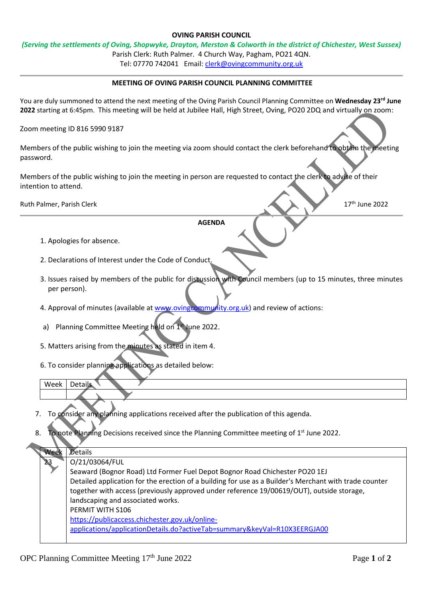## **OVING PARISH COUNCIL**

## *(Serving the settlements of Oving, Shopwyke, Drayton, Merston & Colworth in the district of Chichester, West Sussex)*

Parish Clerk: Ruth Palmer. 4 Church Way, Pagham, PO21 4QN.

Tel: 07770 742041 Email: [clerk@ovingcommunity.org.uk](mailto:clerk@ovingcommunity.org.uk)

## **MEETING OF OVING PARISH COUNCIL PLANNING COMMITTEE**

You are duly summoned to attend the next meeting of the Oving Parish Council Planning Committee on **Wednesday 23rd June 2022** starting at 6:45pm. This meeting will be held at Jubilee Hall, High Street, Oving, PO20 2DQ and virtually on zoom:

Zoom meeting ID 816 5990 9187

Members of the public wishing to join the meeting via zoom should contact the clerk beforehand to obtain the meeting password.

Members of the public wishing to join the meeting in person are requested to contact the clerk to advise of their intention to attend.

Ruth Palmer, Parish Clerk 17th June 2022

## **AGENDA**

- 1. Apologies for absence.
- 2. Declarations of Interest under the Code of Conduct.
- 3. Issues raised by members of the public for discussion with Council members (up to 15 minutes, three minutes per person).
- 4. Approval of minutes (available a[t www.ovingcommunity.org.uk\)](http://www.ovingcommunity.org.uk/) and review of actions:
- a) Planning Committee Meeting held on 1st June 2022.
- 5. Matters arising from the minutes as stated in item 4.
- 6. To consider planning applications as detailed below:

| ۱۸ |  |  |
|----|--|--|
|    |  |  |
|    |  |  |

- 7. To consider any planning applications received after the publication of this agenda.
- 8. To note Planning Decisions received since the Planning Committee meeting of 1<sup>st</sup> June 2022.

| Week | Details                                                                                                |  |  |  |
|------|--------------------------------------------------------------------------------------------------------|--|--|--|
| 23.  | O/21/03064/FUL                                                                                         |  |  |  |
|      | Seaward (Bognor Road) Ltd Former Fuel Depot Bognor Road Chichester PO20 1EJ                            |  |  |  |
|      | Detailed application for the erection of a building for use as a Builder's Merchant with trade counter |  |  |  |
|      | together with access (previously approved under reference 19/00619/OUT), outside storage,              |  |  |  |
|      | landscaping and associated works.                                                                      |  |  |  |
|      | PERMIT WITH S106                                                                                       |  |  |  |
|      | https://publicaccess.chichester.gov.uk/online-                                                         |  |  |  |
|      | applications/applicationDetails.do?activeTab=summary&keyVal=R10X3EERGJA00                              |  |  |  |
|      |                                                                                                        |  |  |  |